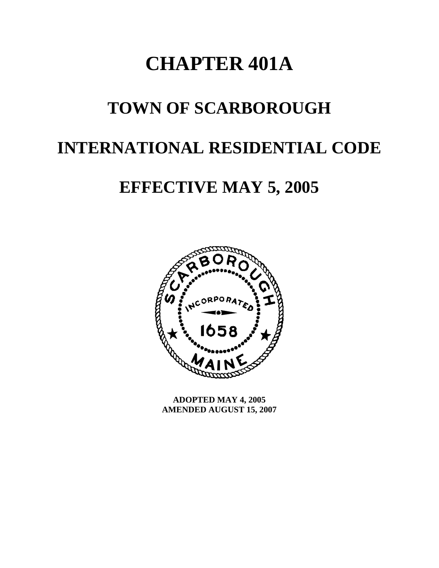# **CHAPTER 401A**

# **TOWN OF SCARBOROUGH**

# **INTERNATIONAL RESIDENTIAL CODE**

# **EFFECTIVE MAY 5, 2005**



**ADOPTED MAY 4, 2005 AMENDED AUGUST 15, 2007**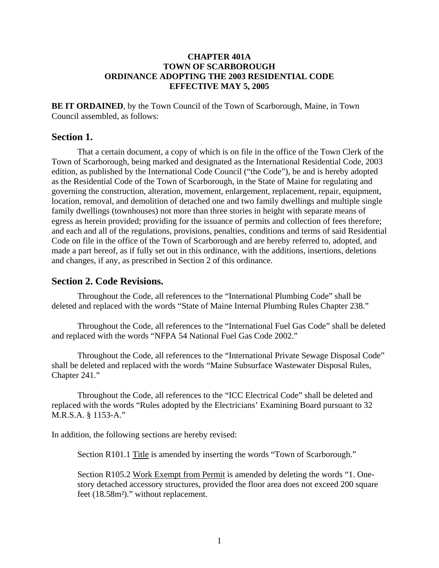#### **CHAPTER 401A TOWN OF SCARBOROUGH ORDINANCE ADOPTING THE 2003 RESIDENTIAL CODE EFFECTIVE MAY 5, 2005**

**BE IT ORDAINED**, by the Town Council of the Town of Scarborough, Maine, in Town Council assembled, as follows:

### **Section 1.**

 That a certain document, a copy of which is on file in the office of the Town Clerk of the Town of Scarborough, being marked and designated as the International Residential Code, 2003 edition, as published by the International Code Council ("the Code"), be and is hereby adopted as the Residential Code of the Town of Scarborough, in the State of Maine for regulating and governing the construction, alteration, movement, enlargement, replacement, repair, equipment, location, removal, and demolition of detached one and two family dwellings and multiple single family dwellings (townhouses) not more than three stories in height with separate means of egress as herein provided; providing for the issuance of permits and collection of fees therefore; and each and all of the regulations, provisions, penalties, conditions and terms of said Residential Code on file in the office of the Town of Scarborough and are hereby referred to, adopted, and made a part hereof, as if fully set out in this ordinance, with the additions, insertions, deletions and changes, if any, as prescribed in Section 2 of this ordinance.

#### **Section 2. Code Revisions.**

Throughout the Code, all references to the "International Plumbing Code" shall be deleted and replaced with the words "State of Maine Internal Plumbing Rules Chapter 238."

Throughout the Code, all references to the "International Fuel Gas Code" shall be deleted and replaced with the words "NFPA 54 National Fuel Gas Code 2002."

Throughout the Code, all references to the "International Private Sewage Disposal Code" shall be deleted and replaced with the words "Maine Subsurface Wastewater Disposal Rules, Chapter 241."

Throughout the Code, all references to the "ICC Electrical Code" shall be deleted and replaced with the words "Rules adopted by the Electricians' Examining Board pursuant to 32 M.R.S.A. § 1153-A."

In addition, the following sections are hereby revised:

Section R101.1 Title is amended by inserting the words "Town of Scarborough."

Section R105.2 Work Exempt from Permit is amended by deleting the words "1. Onestory detached accessory structures, provided the floor area does not exceed 200 square feet (18.58m²)." without replacement.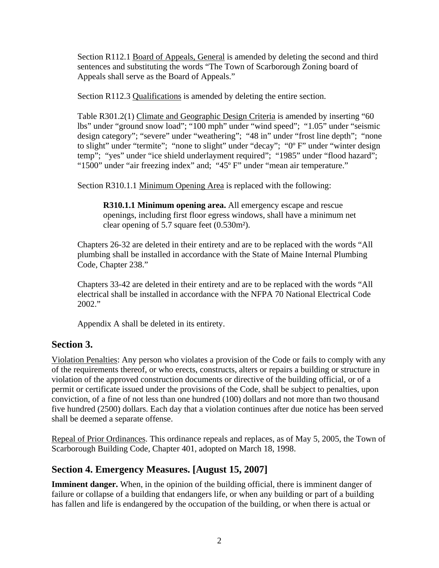Section R112.1 Board of Appeals, General is amended by deleting the second and third sentences and substituting the words "The Town of Scarborough Zoning board of Appeals shall serve as the Board of Appeals."

Section R112.3 Qualifications is amended by deleting the entire section.

Table R301.2(1) Climate and Geographic Design Criteria is amended by inserting "60 lbs" under "ground snow load"; "100 mph" under "wind speed"; "1.05" under "seismic design category"; "severe" under "weathering"; "48 in" under "frost line depth"; "none to slight" under "termite"; "none to slight" under "decay"; "0° F" under "winter design temp"; "yes" under "ice shield underlayment required"; "1985" under "flood hazard"; "1500" under "air freezing index" and; "45º F" under "mean air temperature."

Section R310.1.1 Minimum Opening Area is replaced with the following:

**R310.1.1 Minimum opening area.** All emergency escape and rescue openings, including first floor egress windows, shall have a minimum net clear opening of 5.7 square feet (0.530m²).

Chapters 26-32 are deleted in their entirety and are to be replaced with the words "All plumbing shall be installed in accordance with the State of Maine Internal Plumbing Code, Chapter 238."

Chapters 33-42 are deleted in their entirety and are to be replaced with the words "All electrical shall be installed in accordance with the NFPA 70 National Electrical Code 2002."

Appendix A shall be deleted in its entirety.

### **Section 3.**

Violation Penalties: Any person who violates a provision of the Code or fails to comply with any of the requirements thereof, or who erects, constructs, alters or repairs a building or structure in violation of the approved construction documents or directive of the building official, or of a permit or certificate issued under the provisions of the Code, shall be subject to penalties, upon conviction, of a fine of not less than one hundred (100) dollars and not more than two thousand five hundred (2500) dollars. Each day that a violation continues after due notice has been served shall be deemed a separate offense.

Repeal of Prior Ordinances. This ordinance repeals and replaces, as of May 5, 2005, the Town of Scarborough Building Code, Chapter 401, adopted on March 18, 1998.

### **Section 4. Emergency Measures. [August 15, 2007]**

**Imminent danger.** When, in the opinion of the building official, there is imminent danger of failure or collapse of a building that endangers life, or when any building or part of a building has fallen and life is endangered by the occupation of the building, or when there is actual or